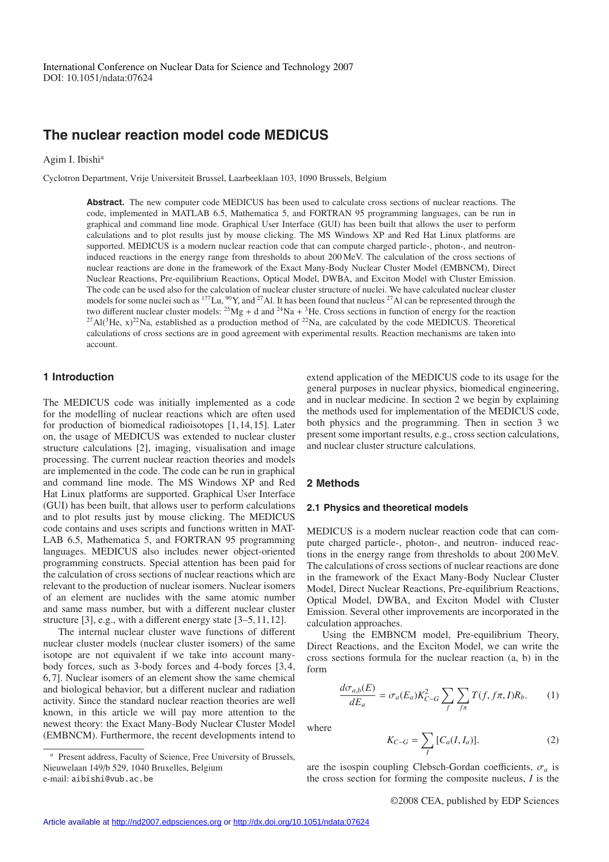# **The nuclear reaction model code MEDICUS**

Agim I. Ibishi<sup>a</sup>

Cyclotron Department, Vrije Universiteit Brussel, Laarbeeklaan 103, 1090 Brussels, Belgium

**Abstract.** The new computer code MEDICUS has been used to calculate cross sections of nuclear reactions. The code, implemented in MATLAB 6.5, Mathematica 5, and FORTRAN 95 programming languages, can be run in graphical and command line mode. Graphical User Interface (GUI) has been built that allows the user to perform calculations and to plot results just by mouse clicking. The MS Windows XP and Red Hat Linux platforms are supported. MEDICUS is a modern nuclear reaction code that can compute charged particle-, photon-, and neutroninduced reactions in the energy range from thresholds to about 200 MeV. The calculation of the cross sections of nuclear reactions are done in the framework of the Exact Many-Body Nuclear Cluster Model (EMBNCM), Direct Nuclear Reactions, Pre-equilibrium Reactions, Optical Model, DWBA, and Exciton Model with Cluster Emission. The code can be used also for the calculation of nuclear cluster structure of nuclei. We have calculated nuclear cluster models for some nuclei such as  $177$ Lu,  $90$ Y, and  $27$ Al. It has been found that nucleus  $27$ Al can be represented through the two different nuclear cluster models:  $^{25}Mg + d$  and  $^{24}Na + {}^{3}He$ . Cross sections in function of energy for the reaction <sup>27</sup>Al(<sup>3</sup>He, x)<sup>22</sup>Na, established as a production method of <sup>22</sup>Na, are calculated by the code MEDICUS. Theoretical calculations of cross sections are in good agreement with experimental results. Reaction mechanisms are taken into account.

## **1 Introduction**

The MEDICUS code was initially implemented as a code for the modelling of nuclear reactions which are often used for production of biomedical radioisotopes [1, 14, 15]. Later on, the usage of MEDICUS was extended to nuclear cluster structure calculations [2], imaging, visualisation and image processing. The current nuclear reaction theories and models are implemented in the code. The code can be run in graphical and command line mode. The MS Windows XP and Red Hat Linux platforms are supported. Graphical User Interface (GUI) has been built, that allows user to perform calculations and to plot results just by mouse clicking. The MEDICUS code contains and uses scripts and functions written in MAT-LAB 6.5, Mathematica 5, and FORTRAN 95 programming languages. MEDICUS also includes newer object-oriented programming constructs. Special attention has been paid for the calculation of cross sections of nuclear reactions which are relevant to the production of nuclear isomers. Nuclear isomers of an element are nuclides with the same atomic number and same mass number, but with a different nuclear cluster structure [3], e.g., with a different energy state [3–5, 11, 12].

The internal nuclear cluster wave functions of different nuclear cluster models (nuclear cluster isomers) of the same isotope are not equivalent if we take into account manybody forces, such as 3-body forces and 4-body forces [3, 4, 6, 7]. Nuclear isomers of an element show the same chemical and biological behavior, but a different nuclear and radiation activity. Since the standard nuclear reaction theories are well known, in this article we will pay more attention to the newest theory: the Exact Many-Body Nuclear Cluster Model (EMBNCM). Furthermore, the recent developments intend to extend application of the MEDICUS code to its usage for the general purposes in nuclear physics, biomedical engineering, and in nuclear medicine. In section 2 we begin by explaining the methods used for implementation of the MEDICUS code, both physics and the programming. Then in section 3 we present some important results, e.g., cross section calculations, and nuclear cluster structure calculations.

# **2 Methods**

#### **2.1 Physics and theoretical models**

MEDICUS is a modern nuclear reaction code that can compute charged particle-, photon-, and neutron- induced reactions in the energy range from thresholds to about 200 MeV. The calculations of cross sections of nuclear reactions are done in the framework of the Exact Many-Body Nuclear Cluster Model, Direct Nuclear Reactions, Pre-equilibrium Reactions, Optical Model, DWBA, and Exciton Model with Cluster Emission. Several other improvements are incorporated in the calculation approaches.

Using the EMBNCM model, Pre-equilibrium Theory, Direct Reactions, and the Exciton Model, we can write the cross sections formula for the nuclear reaction (a, b) in the form

$$
\frac{d\sigma_{a,b}(E)}{dE_a} = \sigma_a(E_a)K_{C-G}^2 \sum_f \sum_{f\pi} T(f, f\pi, I)R_b.
$$
 (1)

where

$$
K_{C-G} = \sum_{I} [C_a(I, I_a)].
$$
 (2)

are the isospin coupling Clebsch-Gordan coefficients,  $\sigma_a$  is the cross section for forming the composite nucleus, *I* is the

*<sup>a</sup>* Present address, Faculty of Science, Free University of Brussels, Nieuwelaan 149/b 529, 1040 Bruxelles, Belgium e-mail: aibishi@vub.ac.be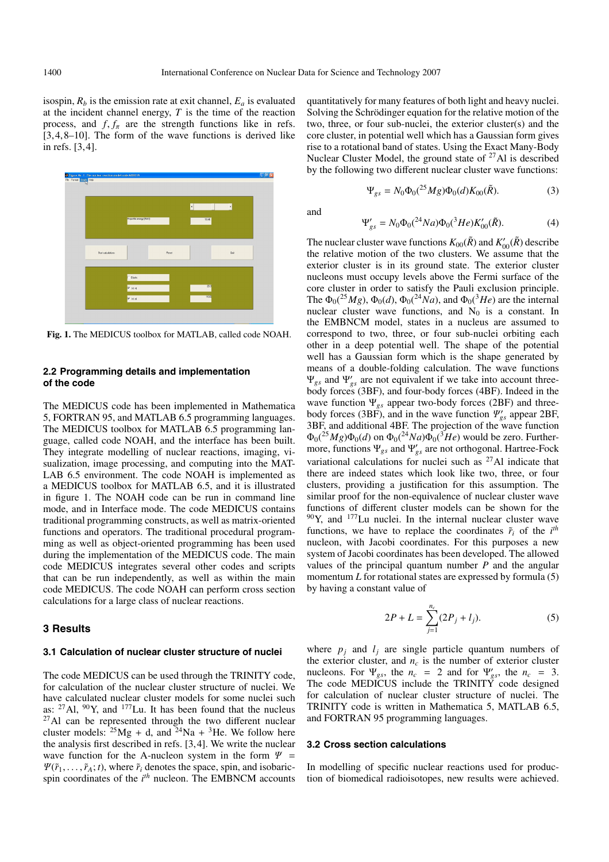isospin,  $R_b$  is the emission rate at exit channel,  $E_a$  is evaluated at the incident channel energy, *T* is the time of the reaction process, and  $f, f_\pi$  are the strength functions like in refs. [3, 4, 8–10]. The form of the wave functions is derived like in refs. [3, 4].



**Fig. 1.** The MEDICUS toolbox for MATLAB, called code NOAH.

### **2.2 Programming details and implementation of the code**

The MEDICUS code has been implemented in Mathematica 5, FORTRAN 95, and MATLAB 6.5 programming languages. The MEDICUS toolbox for MATLAB 6.5 programming language, called code NOAH, and the interface has been built. They integrate modelling of nuclear reactions, imaging, visualization, image processing, and computing into the MAT-LAB 6.5 environment. The code NOAH is implemented as a MEDICUS toolbox for MATLAB 6.5, and it is illustrated in figure 1. The NOAH code can be run in command line mode, and in Interface mode. The code MEDICUS contains traditional programming constructs, as well as matrix-oriented functions and operators. The traditional procedural programming as well as object-oriented programming has been used during the implementation of the MEDICUS code. The main code MEDICUS integrates several other codes and scripts that can be run independently, as well as within the main code MEDICUS. The code NOAH can perform cross section calculations for a large class of nuclear reactions.

#### **3 Results**

#### **3.1 Calculation of nuclear cluster structure of nuclei**

The code MEDICUS can be used through the TRINITY code, for calculation of the nuclear cluster structure of nuclei. We have calculated nuclear cluster models for some nuclei such as:  $^{27}$ Al,  $^{90}$ Y, and  $^{177}$ Lu. It has been found that the nucleus  $^{27}$ Al can be represented through the two different nuclear cluster models:  $^{25}Mg + d$ , and  $^{24}Na + {}^{3}He$ . We follow here the analysis first described in refs. [3, 4]. We write the nuclear wave function for the A-nucleon system in the form  $\Psi =$  $\Psi(\tilde{r}_1,\ldots,\tilde{r}_A;t)$ , where  $\tilde{r}_i$  denotes the space, spin, and isobaricspin coordinates of the *i th* nucleon. The EMBNCM accounts

quantitatively for many features of both light and heavy nuclei. Solving the Schrödinger equation for the relative motion of the two, three, or four sub-nuclei, the exterior cluster(s) and the core cluster, in potential well which has a Gaussian form gives rise to a rotational band of states. Using the Exact Many-Body Nuclear Cluster Model, the ground state of  $27$ Al is described by the following two different nuclear cluster wave functions:

$$
\Psi_{gs} = N_0 \Phi_0({}^{25}Mg)\Phi_0(d)K_{00}(\tilde{R}).
$$
\n(3)

and

$$
\Psi'_{gs} = N_0 \Phi_0({}^{24}Na) \Phi_0({}^3He)K'_{00}(\tilde{R}).
$$
 (4)

The nuclear cluster wave functions  $K_{00}(\tilde{R})$  and  $K'_{00}(\tilde{R})$  describe the relative motion of the two clusters. We assume that the exterior cluster is in its ground state. The exterior cluster nucleons must occupy levels above the Fermi surface of the core cluster in order to satisfy the Pauli exclusion principle. The  $\Phi_0(^{25}Mg)$ ,  $\Phi_0(d)$ ,  $\Phi_0(^{24}Na)$ , and  $\Phi_0(^{3}He)$  are the internal nuclear cluster wave functions, and  $N_0$  is a constant. In the EMBNCM model, states in a nucleus are assumed to correspond to two, three, or four sub-nuclei orbiting each other in a deep potential well. The shape of the potential well has a Gaussian form which is the shape generated by means of a double-folding calculation. The wave functions Ψ*gs* and Ψ *gs* are not equivalent if we take into account threebody forces (3BF), and four-body forces (4BF). Indeed in the wave function Ψ*gs* appear two-body forces (2BF) and threebody forces (3BF), and in the wave function Ψ *gs* appear 2BF, 3BF, and additional 4BF. The projection of the wave function  $\Phi_0(^{25}Mg)\Phi_0(d)$  on  $\Phi_0(^{24}Na)\Phi_0(^{3}He)$  would be zero. Furthermore, functions Ψ*gs* and Ψ *gs* are not orthogonal. Hartree-Fock variational calculations for nuclei such as  $^{27}$ Al indicate that there are indeed states which look like two, three, or four clusters, providing a justification for this assumption. The similar proof for the non-equivalence of nuclear cluster wave functions of different cluster models can be shown for the  $90Y$ , and  $177$ Lu nuclei. In the internal nuclear cluster wave functions, we have to replace the coordinates  $\tilde{r}_i$  of the  $i^{th}$ nucleon, with Jacobi coordinates. For this purposes a new system of Jacobi coordinates has been developed. The allowed values of the principal quantum number *P* and the angular momentum *L* for rotational states are expressed by formula (5) by having a constant value of

$$
2P + L = \sum_{j=1}^{n_c} (2P_j + l_j).
$$
 (5)

where  $p_j$  and  $l_j$  are single particle quantum numbers of the exterior cluster, and  $n_c$  is the number of exterior cluster nucleons. For  $\Psi_{gs}$ , the  $n_c = 2$  and for  $\Psi'_{gs}$ , the  $n_c = 3$ . The code MEDICUS include the TRINITY code designed for calculation of nuclear cluster structure of nuclei. The TRINITY code is written in Mathematica 5, MATLAB 6.5, and FORTRAN 95 programming languages.

#### **3.2 Cross section calculations**

In modelling of specific nuclear reactions used for production of biomedical radioisotopes, new results were achieved.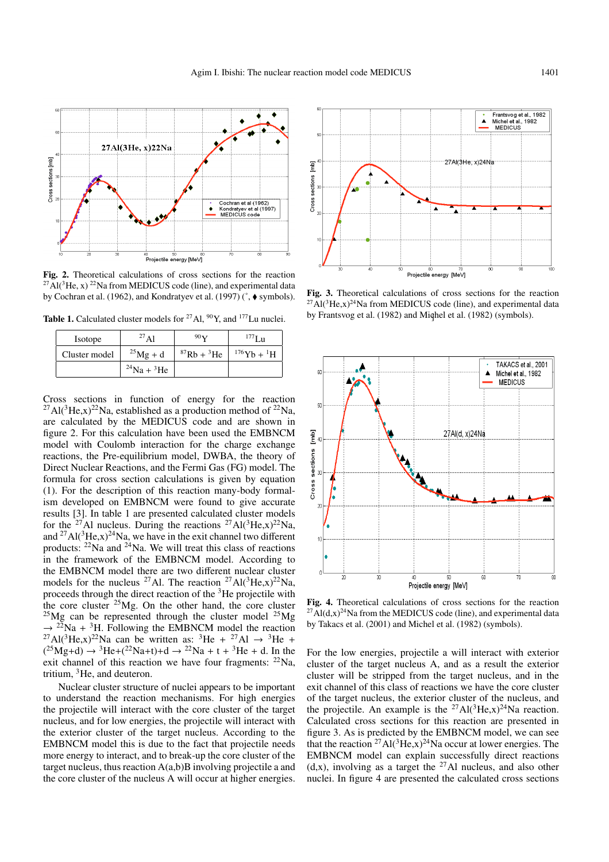

**Fig. 2.** Theoretical calculations of cross sections for the reaction  $^{27}$ Al(<sup>3</sup>He, x)<sup>22</sup>Na from MEDICUS code (line), and experimental data by Cochran et al. (1962), and Kondratyev et al. (1997) ( $\degree$ ,  $\blacklozenge$  symbols).

**Table 1.** Calculated cluster models for <sup>27</sup>Al, <sup>90</sup>Y, and <sup>177</sup>Lu nuclei.

| Isotope       | $^{27}$ Al             | $90\,\mathrm{V}$       | $^{177}$ Lu                     |
|---------------|------------------------|------------------------|---------------------------------|
| Cluster model | $^{25}Mg + d$          | ${}^{87}Rb + {}^{3}He$ | $176\text{Yb} + {}^{1}\text{H}$ |
|               | $^{24}$ Na + $^{3}$ He |                        |                                 |

Cross sections in function of energy for the reaction <sup>27</sup>Al(<sup>3</sup>He,x)<sup>22</sup>Na, established as a production method of <sup>22</sup>Na, are calculated by the MEDICUS code and are shown in figure 2. For this calculation have been used the EMBNCM model with Coulomb interaction for the charge exchange reactions, the Pre-equilibrium model, DWBA, the theory of Direct Nuclear Reactions, and the Fermi Gas (FG) model. The formula for cross section calculations is given by equation (1). For the description of this reaction many-body formalism developed on EMBNCM were found to give accurate results [3]. In table 1 are presented calculated cluster models for the <sup>27</sup>Al nucleus. During the reactions <sup>27</sup>Al(<sup>3</sup>He,x)<sup>22</sup>Na, and  $^{27}$ Al( $^{3}$ He,x) $^{24}$ Na, we have in the exit channel two different products:  $22$ Na and  $24$ Na. We will treat this class of reactions in the framework of the EMBNCM model. According to the EMBNCM model there are two different nuclear cluster models for the nucleus <sup>27</sup>Al. The reaction <sup>27</sup>Al(<sup>3</sup>He,x)<sup>22</sup>Na, proceeds through the direct reaction of the 3He projectile with the core cluster  $25$ Mg. On the other hand, the core cluster  $^{25}Mg$  can be represented through the cluster model  $^{25}Mg$  $\rightarrow$  <sup>22</sup>Na + <sup>3</sup>H. Following the EMBNCM model the reaction <sup>27</sup>Al(<sup>3</sup>He,x)<sup>22</sup>Na can be written as: <sup>3</sup>He + <sup>27</sup>Al  $\rightarrow$  <sup>3</sup>He +  $(^{25}Mg+d) \rightarrow {}^{3}He+(^{22}Na+t)+d \rightarrow {}^{22}Na+t+{}^{3}He+d$ . In the exit channel of this reaction we have four fragments:  $22Na$ , tritium,  ${}^{3}$ He, and deuteron.

Nuclear cluster structure of nuclei appears to be important to understand the reaction mechanisms. For high energies the projectile will interact with the core cluster of the target nucleus, and for low energies, the projectile will interact with the exterior cluster of the target nucleus. According to the EMBNCM model this is due to the fact that projectile needs more energy to interact, and to break-up the core cluster of the target nucleus, thus reaction  $A(a,b)B$  involving projectile a and the core cluster of the nucleus A will occur at higher energies.



**Fig. 3.** Theoretical calculations of cross sections for the reaction  $^{27}$ Al(<sup>3</sup>He,x)<sup>24</sup>Na from MEDICUS code (line), and experimental data by Frantsvog et al. (1982) and Miqhel et al. (1982) (symbols).



**Fig. 4.** Theoretical calculations of cross sections for the reaction  $27$ Al(d,x)<sup>24</sup>Na from the MEDICUS code (line), and experimental data by Takacs et al. (2001) and Michel et al. (1982) (symbols).

For the low energies, projectile a will interact with exterior cluster of the target nucleus A, and as a result the exterior cluster will be stripped from the target nucleus, and in the exit channel of this class of reactions we have the core cluster of the target nucleus, the exterior cluster of the nucleus, and the projectile. An example is the <sup>27</sup>Al(<sup>3</sup>He,x)<sup>24</sup>Na reaction. Calculated cross sections for this reaction are presented in figure 3. As is predicted by the EMBNCM model, we can see that the reaction <sup>27</sup>Al(<sup>3</sup>He,x)<sup>24</sup>Na occur at lower energies. The EMBNCM model can explain successfully direct reactions  $(d, x)$ , involving as a target the <sup>27</sup>Al nucleus, and also other nuclei. In figure 4 are presented the calculated cross sections